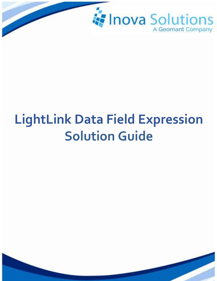

# **LightLink Data Field Expression Solution Guide**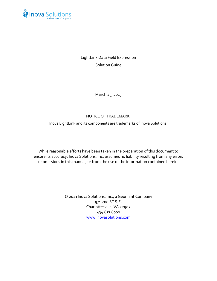

LightLink Data Field Expression Solution Guide

March 25, 2013

## NOTICE OF TRADEMARK:

Inova LightLink and its components are trademarks of Inova Solutions.

While reasonable efforts have been taken in the preparation of this document to ensure its accuracy, Inova Solutions, Inc. assumes no liability resulting from any errors or omissions in this manual, or from the use of the information contained herein.

> © 2021 Inova Solutions, Inc., a Geomant Company 971 2nd ST S.E. Charlottesville, VA 22902 434.817.8000 [www.inovasolutions.com](http://www.inovasolutions.com/)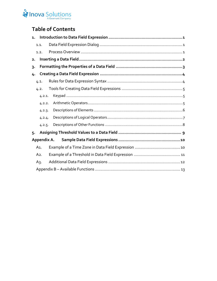# Inova Solutions

# **Table of Contents**

| $\mathbf{1}$ . |        |  |  |  |  |
|----------------|--------|--|--|--|--|
|                | 1.1.   |  |  |  |  |
|                | 1.2.   |  |  |  |  |
| 2.             |        |  |  |  |  |
| $3 -$          |        |  |  |  |  |
| 4.             |        |  |  |  |  |
|                | 4.1.   |  |  |  |  |
|                | 4.2.   |  |  |  |  |
|                | 4.2.1. |  |  |  |  |
|                | 4.2.2. |  |  |  |  |
|                | 4.2.3. |  |  |  |  |
|                | 4.2.4. |  |  |  |  |
|                | 4.2.5. |  |  |  |  |
|                | 5.     |  |  |  |  |
| Appendix A.    |        |  |  |  |  |
|                | A1.    |  |  |  |  |
|                | $A2$ . |  |  |  |  |
|                | $A_3.$ |  |  |  |  |
|                |        |  |  |  |  |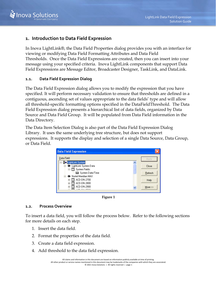

# <span id="page-3-0"></span>**1. Introduction to Data Field Expression**

In Inova LightLink®, the Data Field Properties dialog provides you with an interface for viewing or modifying Data Field Formatting Attributes and Data Field Thresholds. Once the Data Field Expressions are created, then you can insert into your message using your specified criteria. Inova LightLink components that support Data Field Expressions are Message Editor, Broadcaster Designer, TaskLink, and DataLink.

## <span id="page-3-1"></span>**1.1. Data Field Expression Dialog**

The Data Field Expression dialog allows you to modify the expression that you have specified. It will perform necessary validation to ensure that thresholds are defined in a contiguous, ascending set of values appropriate to the data fields' type and will allow all threshold-specific formatting options specified in the DataFieldThreshold. The Data Field Expression dialog presents a hierarchical list of data fields, organized by Data Source and Data Field Group. It will be populated from Data Field information in the Data Directory.

The Data Item Selection Dialog is also part of the Data Field Expression Dialog Library. It uses the same underlying tree structure, but does not support expressions. It supports the display and selection of a single Data Source, Data Group, or Data Field.



**Figure 1**

#### <span id="page-3-2"></span>**1.2. Process Overview**

To insert a data field, you will follow the process below. Refer to the following sections for more details on each step.

- 1. Insert the data field.
- 2. Format the properties of the data field.
- 3. Create a data field expression.
- 4. Add threshold to the data field expression.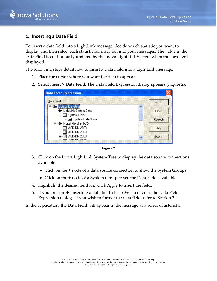

# <span id="page-4-0"></span>**2. Inserting a Data Field**

To insert a data field into a LightLink message, decide which statistic you want to display and then select each statistic for insertion into your messages. The value in the Data Field is continuously updated by the Inova LightLink System when the message is displayed.

The following steps detail how to insert a Data Field into a LightLink message:

- 1. Place the cursor where you want the data to appear.
- 2. Select Insert > Data Field. The Data Field Expression dialog appears [\(Figure 2\)](#page-4-1).

| <b>Data Field Expression</b>         |            |  |  |
|--------------------------------------|------------|--|--|
| Data Field                           | Apply      |  |  |
| ⊟- <mark>P</mark> ¤ LightLink System |            |  |  |
| -<br>LightLink System Data           | Close      |  |  |
| 白 - 國 System Fields:                 |            |  |  |
| 图 System Date/Time                   | Refresh    |  |  |
| 白…● Nortel Meridian MAX              |            |  |  |
| ACD-DN:2700<br>$\ddot{}$             | Help       |  |  |
| ACD-DN:2800<br>Ŧ                     |            |  |  |
| ACD-DN:2900<br>$\overline{+}$        | $More \gg$ |  |  |
|                                      |            |  |  |

**Figure 2**

- <span id="page-4-1"></span>3. Click on the Inova LightLink System Tree to display the data source connections available.
	- Click on the + node of a data source connection to show the System Groups.
	- Click on the + node of a System Group to see the Data Fields available.
- 4. Highlight the desired field and click *Apply* to insert the field**.**
- 5. If you are simply inserting a data field, click *Close* to dismiss the Data Field Expression dialog. If you wish to format the data field, refer to Section [3.](#page-5-0)

In the application, the Data Field will appear in the message as a series of asterisks.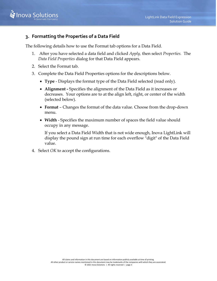

# <span id="page-5-0"></span>**3. Formatting the Properties of a Data Field**

The following details how to use the Format tab options for a Data Field.

- 1. After you have selected a data field and clicked *Apply,* then select *Properties.* The *Data Field Properties* dialog for that Data Field appears.
- 2. Select the Format tab.
- 3. Complete the Data Field Properties options for the descriptions below.
	- **Type** Displays the format type of the Data Field selected (read only).
	- **Alignment -** Specifies the alignment of the Data Field as it increases or decreases. Your options are to at the align left, right, or center of the width (selected below).
	- **Format** Changes the format of the data value. Choose from the drop-down menu.
	- **Width** Specifies the maximum number of spaces the field value should occupy in any message.

If you select a Data Field Width that is not wide enough, Inova LightLink will display the pound sign at run time for each overflow "digit" of the Data Field value.

4. Select *OK* to accept the configurations.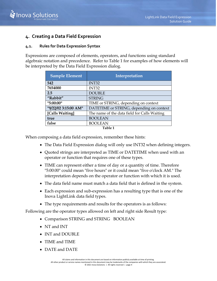

# <span id="page-6-0"></span>**4. Creating a Data Field Expression**

## <span id="page-6-1"></span>**4.1. Rules for Data Expression Syntax**

Expressions are composed of elements, operators, and functions using standard algebraic notation and precedence. Refer to [Table 1](#page-6-2) for examples of how elements will be interpreted by the Data Field Expression dialog.

| 542<br>INT32<br>7654000<br>INT32<br><b>DOUBLE</b><br>2.5<br>"Rabbit"<br><b>STRING</b><br>"5:00:00"<br>TIME or STRING, depending on context<br>"9/22/02 3:15:00 AM"<br>DATETIME or STRING, depending on context<br>[Calls Waiting]<br>The name of the data field for Calls Waiting<br><b>BOOLEAN</b><br>true | <b>Sample Element</b> | Interpretation |
|-------------------------------------------------------------------------------------------------------------------------------------------------------------------------------------------------------------------------------------------------------------------------------------------------------------|-----------------------|----------------|
|                                                                                                                                                                                                                                                                                                             |                       |                |
|                                                                                                                                                                                                                                                                                                             |                       |                |
|                                                                                                                                                                                                                                                                                                             |                       |                |
|                                                                                                                                                                                                                                                                                                             |                       |                |
|                                                                                                                                                                                                                                                                                                             |                       |                |
|                                                                                                                                                                                                                                                                                                             |                       |                |
|                                                                                                                                                                                                                                                                                                             |                       |                |
|                                                                                                                                                                                                                                                                                                             |                       |                |
|                                                                                                                                                                                                                                                                                                             | false                 | <b>BOOLEAN</b> |

**Table 1**

<span id="page-6-2"></span>When composing a data field expression, remember these hints:

- The Data Field Expression dialog will only use INT32 when defining integers.
- Quoted strings are interpreted as TIME or DATETIME when used with an operator or function that requires one of these types.
- TIME can represent either a time of day or a quantity of time. Therefore "5:00:00" could mean "five hours" or it could mean "five o'clock AM." The interpretation depends on the operator or function with which it is used.
- The data field name must match a data field that is defined in the system.
- Each expression and sub-expression has a resulting type that is one of the Inova LightLink data field types.
- The type requirements and results for the operators is as follows:

Following are the operator types allowed on left and right side Result type:

- Comparison STRING and STRING BOOLEAN
- NT and INT
- INT and DOUBLE
- TIME and TIME
- DATE and DATE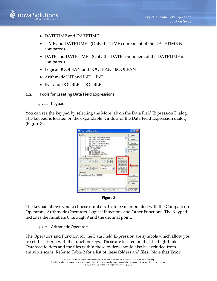

- DATETIME and DATETIME
- TIME and DATETIME (Only the TIME component of the DATETIME is compared)
- DATE and DATETIME (Only the DATE component of the DATETIME is compared)
- Logical BOOLEAN and BOOLEAN BOOLEAN
- Arithmetic INT and INT INT
- INT and DOUBLE DOUBLE

#### <span id="page-7-1"></span><span id="page-7-0"></span>**4.2. Tools for Creating Data Field Expressions**

4.2.1. Keypad

You can see the keypad by selecting the More tab on the Data Field Expression Dialog. The keypad is located on the expandable window of the Data Field Expression dialog [\(Figure 3\)](#page-7-3).





<span id="page-7-3"></span>The keypad allows you to choose numbers 0-9 to be manipulated with the Comparison Operators, Arithmetic Operators, Logical Functions and Other Functions. The Keypad includes the numbers 0 through 9 and the decimal point.

## 4.2.2. Arithmetic Operators

<span id="page-7-2"></span>The Operators and Function for the Data Field Expression are symbols which allow you to set the criteria with the function keys. These are located on the The LightLink Database folders and the files within those folders should also be excluded from antivirus scans. Refer to Table 2 for a list of these folders and files. Note that **Error!**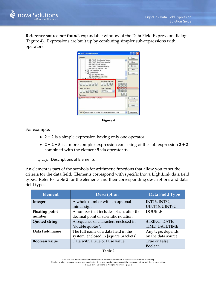

**Reference source not found.** expandable window of the Data Field Expression dialog [\(Figure 4\)](#page-8-1). Expressions are built up by combining simpler sub-expressions with operators.



**Figure 4**

<span id="page-8-1"></span>For example:

- **2 + 2** is a simple expression having only one operator.
- **2 + 2 + 5** is a more complex expression consisting of the sub-expression **2 + 2** combined with the element **5** via operator **+.**
- 4.2.3. Descriptions of Elements

<span id="page-8-0"></span>An element is part of the symbols for arithmetic functions that allow you to set the criteria for the data field. Elements correspond with specific Inova LightLink data field types. Refer to [Table 2](#page-8-2) for the elements and their corresponding descriptions and data field types.

<span id="page-8-2"></span>

| <b>Element</b>        | <b>Description</b>                      | Data Field Type      |
|-----------------------|-----------------------------------------|----------------------|
| Integer               | A whole number with an optional         | <b>INT16, INT32,</b> |
|                       | minus sign.                             | UINT16, UINT32       |
| <b>Floating point</b> | A number that includes places after the | <b>DOUBLE</b>        |
| number                | decimal point or scientific notation.   |                      |
| <b>Quoted string</b>  | A sequence of characters enclosed in    | STRING, DATE,        |
|                       | "double quotes".                        | TIME, DATETIME       |
| Data field name       | The full name of a data field in the    | Any type; depends    |
|                       | system, enclosed in [square brackets].  | on the data source   |
| <b>Boolean value</b>  | Data with a true or false value.        | True or False        |
|                       |                                         | Boolean              |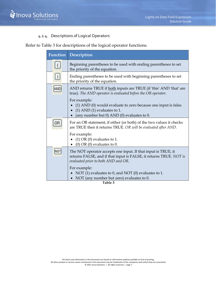

# 4.2.4. Descriptions of Logical Operators

<span id="page-9-0"></span>Refer to [Table 3](#page-9-1) for descriptions of the logical operator functions.

| Function  | Description                                                                                                                                                                |  |
|-----------|----------------------------------------------------------------------------------------------------------------------------------------------------------------------------|--|
| $\vert$ ( | Beginning parentheses to be used with ending parentheses to set<br>the priority of the equation.                                                                           |  |
| $\cup$    | Ending parentheses to be used with beginning parentheses to set<br>the priority of the equation.                                                                           |  |
|           | AND returns TRUE if both inputs are TRUE (if 'this' AND 'that' are<br>true). The AND operator is evaluated before the OR operator.                                         |  |
|           | For example:<br>(1) AND (0) would evaluate to zero because one input is false.<br>$(1)$ AND $(1)$ evaluates to 1.<br>(any number but 0) AND (0) evaluates to 0.            |  |
|           | For an OR statement, if either (or both) of the two values it checks<br>are TRUE then it returns TRUE. OR will be evaluated after AND.                                     |  |
|           | For example:<br>• (1) OR (0) evaluates to 1.<br>$(0)$ OR $(0)$ evaluates to 0.                                                                                             |  |
|           | The NOT operator accepts one input. If that input is TRUE, it<br>returns FALSE, and if that input is FALSE, it returns TRUE. NOT is<br>evaluated prior to both AND and OR. |  |
|           | For example:<br>NOT (1) evaluates to 0, and NOT (0) evaluates to 1.<br>NOT (any number but zero) evaluates to 0.                                                           |  |

<span id="page-9-1"></span>**Table 3**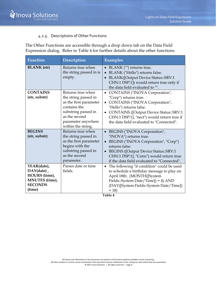

# 4.2.5. Descriptions of Other Functions

<span id="page-10-0"></span>The Other Functions are accessible through a drop down tab on the Data Field Expression dialog. Refer to [Table 4](#page-10-1) for further details about the other functions.

| Function                                                                                 | Description                                                                                                                                                             | <b>Examples</b>                                                                                                                                                                                                                                                     |
|------------------------------------------------------------------------------------------|-------------------------------------------------------------------------------------------------------------------------------------------------------------------------|---------------------------------------------------------------------------------------------------------------------------------------------------------------------------------------------------------------------------------------------------------------------|
| <b>BLANK</b> (str)                                                                       | Returns true when<br>the string passed in is<br>empty.                                                                                                                  | BLANK ("") returns true.<br>$\bullet$<br>BLANK ("Hello") returns false.<br>$\bullet$<br><b>BLANK([Output Device Status::SRV:1</b><br>$\bullet$<br>CHN:1 DSP:1]) would return true only if<br>the data field evaluated to "".                                        |
| <b>CONTAINS</b><br>(str, substr)                                                         | Returns true when<br>the string passed in<br>as the first parameter<br>contains the<br>substring passed in<br>as the second<br>parameter anywhere<br>within the string. | • CONTAINS ("INOVA Corporation",<br>"Corp") returns true.<br>• CONTAINS ("INOVA Corporation",<br>"Hello") returns false.<br>• CONTAINS ([Output Device Status::SRV:1<br>CHN:1 DSP:1], "nect") would return true if<br>the data field evaluated to "Connected".      |
| <b>BEGINS</b><br>(str, substr)                                                           | Returns true when<br>the string passed in<br>as the first parameter<br>begins with the<br>substring passed in<br>as the second<br>parameter.                            | • BEGINS ("INOVA Corporation",<br>"INOVA") returns true.<br>BEGINS ("INOVA Corporation", "Corp")<br>$\bullet$<br>returns false.<br>• BEGINS ([Output Device Status::SRV:1<br>CHN:1 DSP:1], "Conn") would return true<br>if the data field evaluated to "Connected". |
| YEAR(date),<br>DAY(date),<br>HOURS (time),<br>MNUTES (time),<br><b>SECONDS</b><br>(time) | Parses date or time<br>fields.                                                                                                                                          | • The following "if condition" could be used<br>to schedule a birthday message to play on<br>April 18th: (MONTH([System<br>Fields::System Date/Time]) = 4) AND<br>(DAY([System Fields::System Date/Time])<br>$= 18$                                                 |

<span id="page-10-1"></span>**Table 4**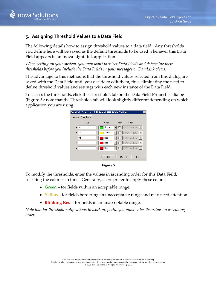

# <span id="page-11-0"></span>**5. Assigning Threshold Values to a Data Field**

The following details how to assign threshold values to a data field. Any thresholds you define here will be saved as the default thresholds to be used whenever this Data Field appears in an Inova LightLink application.

*When setting up your system, you may want to select Data Fields and determine their thresholds before you include the Data Fields in your messages or DataLink views.*

The advantage to this method is that the threshold values selected from this dialog are saved with the Data Field until you decide to edit them, thus eliminating the need to define threshold values and settings with each new instance of the Data Field.

To access the thresholds, click the Thresholds tab on the Data Field Properties dialog [\(Figure 5\)](#page-11-1); note that the Thresholds tab will look slightly different depending on which application you are using.





<span id="page-11-1"></span>To modify the thresholds, enter the values in ascending order for this Data Field, selecting the color each time. Generally, users prefer to apply these colors:

- **Green** for fields within an acceptable range.
- **Yellow -** for fields bordering an unacceptable range and may need attention.
- **Blinking Red** for fields in an unacceptable range.

*Note that for threshold notifications to work properly, you must enter the values in ascending order.*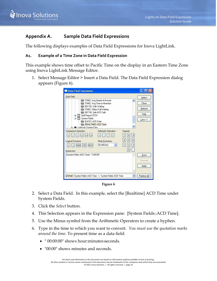

# <span id="page-12-0"></span>**Appendix A. Sample Data Field Expressions**

The following displays examples of Data Field Expressions for Inova LightLink.

## <span id="page-12-1"></span>**A1. Example of a Time Zone in Data Field Expression**

This example shows time offset to Pacific Time on the display in an Eastern Time Zone using Inova LightLink Message Editor.

1. Select Message Editor > Insert a Data Field. The Data Field Expression dialog appears [\(Figure 6\)](#page-12-2).

| <b>Data Field Expression</b>                                                                                                                                                                                         |                                                                     |                                                        |                                       |
|----------------------------------------------------------------------------------------------------------------------------------------------------------------------------------------------------------------------|---------------------------------------------------------------------|--------------------------------------------------------|---------------------------------------|
| Data Field                                                                                                                                                                                                           |                                                                     |                                                        | Select                                |
| 图 (INT16) Calls Waiting<br>图 (TIME) Oldest Call Waiting<br>In (INT16) Split ACD Calls<br>由 Split Report:TECH<br>System Fields:<br>DATE) ACD Date<br><b>ED</b> (REALTIME) ACD Time<br>Fill- Del Lightlink Sustem Data | 图 (TIME) Avg Speed of Answer<br>□ [TIME] Avg Time to Abandon        |                                                        | Close<br>Refresh<br>Help<br>Less $<<$ |
| <b>Comparison Operators</b><br>$\langle \rangle$<br><b>Logical Functions</b><br><b>OR</b><br><b>AND</b><br><b>NOT</b><br>Expression                                                                                  | <b>Arithmetic Operators</b><br>Other Functions<br><b>BLANK[str]</b> | Keypad<br>$\overline{9}$<br>8<br>6<br>5<br>3<br>2<br>0 |                                       |
| [System Fields::ACD Time] - "3:00:00".                                                                                                                                                                               |                                                                     |                                                        | Save<br>Checked<br>Apply              |
| Change:                                                                                                                                                                                                              | System Fields::ACD Time -- > System Fields::ACD Time                |                                                        | Replace All                           |

**Figure 6**

- <span id="page-12-2"></span>2. Select a Data Field. In this example, select the [Realtime] ACD Time under System Fields.
- 3. Click the *Select* button.
- 4. This Selection appears in the Expression pane: [System Fields::ACD Time].
- 5. Use the Minus symbol from the Arithmetic Operators to create a hyphen.
- 6. Type in the time to which you want to convert. *You must use the quotation marks around the time.* To present time as a data field:
	- " 00:00:00" shows hour:minutes:seconds.
	- "00:00" shows minutes and seconds.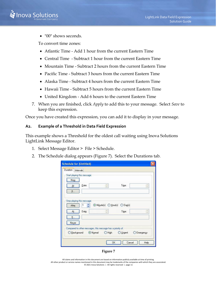

• "00" shows seconds.

To convert time zones:

- Atlantic Time Add 1 hour from the current Eastern Time
- Central Time Subtract 1 hour from the current Eastern Time
- Mountain Time Subtract 2 hours from the current Eastern Time
- Pacific Time Subtract 3 hours from the current Eastern Time
- Alaska Time Subtract 4 hours from the current Eastern Time
- Hawaii Time Subtract 5 hours from the current Eastern Time
- United Kingdom Add 6 hours to the current Eastern Time
- 7. When you are finished, click *Apply* to add this to your message. Select *Save* to keep this expression.

Once you have created this expression, you can add it to display in your message.

## <span id="page-13-0"></span>**A2. Example of a Threshold in Data Field Expression**

This example shows a Threshold for the oldest call waiting using Inova Solutions LightLink Message Editor.

- 1. Select Message Editor > File > Schedule.
- 2. The Schedule dialog appears [\(Figure 7\)](#page-13-1). Select the Durations tab.

|                            | Start playing this message: |                                                             |       |   |
|----------------------------|-----------------------------|-------------------------------------------------------------|-------|---|
| Now<br>At<br>Jf            | Date:                       | w                                                           | Time: |   |
| Stop playing this message: |                             |                                                             |       |   |
| After                      | $\mathbf{1}$                | ⊙ Minute(s) ○ Hour(s) ○ Day(s)                              |       |   |
| At                         | Date:                       | 켮                                                           | Time: | Ó |
| If                         |                             |                                                             |       |   |
| Never                      |                             |                                                             |       |   |
|                            |                             | Compared to other messages, this message has a priority of: |       |   |
|                            |                             |                                                             |       |   |

**Figure 7**

<span id="page-13-1"></span>All claims and information in this document are based on information publicly available at time of printing. All other product or service names mentioned in this document may be trademarks of the companies with which they are associated. © 2021 Inova Solutions | All rights reserved | page 11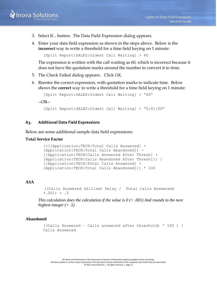- 3. Select If... button. The Data Field Expression dialog appears.
- 4. Enter your data field expression as shown in the steps above. Below is the **incorrect** way to write a threshold for a time field keying on 1 minute:

```
[Split Report:SALES:Oldest Call Waiting] > 60
```
The expression is written with the call waiting as 60, which is incorrect because it does not have the quotation marks around the number to convert it to time.

- 5. The Check Failed dialog appears. Click *OK.*
- 6. Reenter the correct expression, with quotation marks to indicate time. Below shows the **correct** way to write a threshold for a time field keying on 1 minute:

```
[Split Report:SALES:Oldest Call Waiting] > "60"
```
--OR--

```
[Split Report:SALES:Oldest Call Waiting] > "0:01:00"
```
#### <span id="page-14-0"></span>**A3. Additional Data Field Expressions**

Below are some additional sample data field expressions:

#### **Total Service Factor**

```
((([Application:TECH:Total Calls Answered] + 
[Application:TECH:Total Calls Abandoned]) -
([Application:TECH:Calls Answered After Thresh] + 
[Application:TECH:Calls Abandoned After Thresh])) / 
([Application:TECH:Total Calls Answered] + 
[Application:TECH:Total Calls Abandoned])) * 100
```
#### **ASA**

```
((Calls Answered Skillset Delay / Total Calls Answered) 
+, 001) + .5
```
*This calculation does the calculation if the value is 0 (+ .001) And rounds to the next highest integer (+ .5)*

#### **Abandoned**

((Calls Answered – Calls answered after threshold) \* 100 ) / Calls Answered